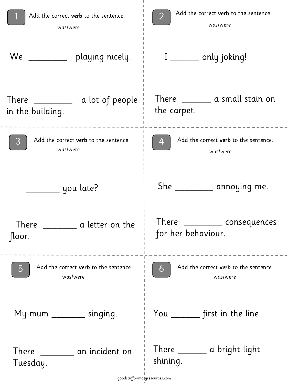| Add the correct verb to the sentence.<br>was/were | Add the correct verb to the sentence.<br>was/were      |  |
|---------------------------------------------------|--------------------------------------------------------|--|
| We<br>playing nicely.                             | $I$ _________ only joking!                             |  |
| in the building.                                  | There __________ a small stain on<br>the carpet.       |  |
| Add the correct verb to the sentence.<br>was/were | Add the correct verb to the sentence.<br>4<br>was/were |  |
| _____ you late?                                   | She ___________ annoying me.                           |  |
| There<br>a letter on the<br>floor.                | There ___________ consequences<br>for her behaviour.   |  |
| Add the correct verb to the sentence.<br>was/were | Add the correct verb to the sentence.<br>6<br>was/were |  |
| My mum ______ singing.                            | You _______ first in the line.                         |  |
| There an incident on<br>Tuesday.                  | There _______ a bright light<br>shining.               |  |
| goodstuffprimatyresources.com                     |                                                        |  |

Ť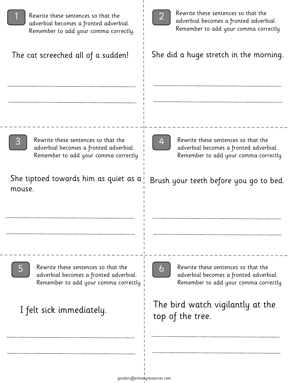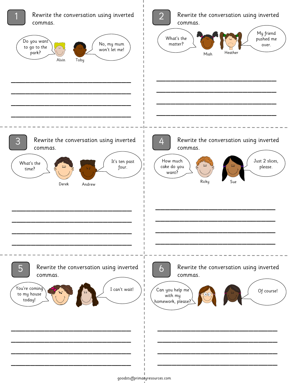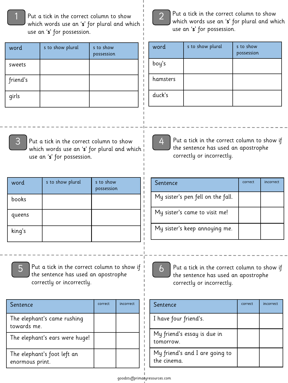1 Put a tick in the correct column to show  $\begin{bmatrix} 1 & 2 \end{bmatrix}$  Put a tick in the correct column to show which we an 's' for plural and wh which words use an 's' for plural and which use an 's' for possession.

| word     | s to show plural | s to show<br>possession |
|----------|------------------|-------------------------|
| sweets   |                  |                         |
| friend's |                  |                         |
| girls    |                  |                         |



which words use an 's' for plural and which use an 's' for possession.

| word     | s to show plural | s to show<br>possession |
|----------|------------------|-------------------------|
| boy's    |                  |                         |
| hamsters |                  |                         |
| duck's   |                  |                         |



Put a tick in the correct column to show which words use an 's' for plural and which use an 's' for possession.

| word   | s to show plural | s to show<br>possession |
|--------|------------------|-------------------------|
| books  |                  |                         |
| queens |                  |                         |
| king's |                  |                         |



correctly or incorrectly.

Put a tick in the correct column to show if the sentence has used an apostrophe



Put a tick in the correct column to show if the sentence has used an apostrophe correctly or incorrectly.

| Sentence                                       | correct | incorrect |
|------------------------------------------------|---------|-----------|
| The elephant's came rushing<br>towards me.     |         |           |
| The elephant's ears were huge!                 |         |           |
| The elephant's foot left an<br>enormous print. |         |           |



4

Put a tick in the correct column to show if the sentence has used an apostrophe correctly or incorrectly.

| Sentence                                      | correct | incorrect |
|-----------------------------------------------|---------|-----------|
| I have four friend's.                         |         |           |
| My friend's essay is due in<br>tomorrow.      |         |           |
| My friend's and I are going to<br>the cinema. |         |           |